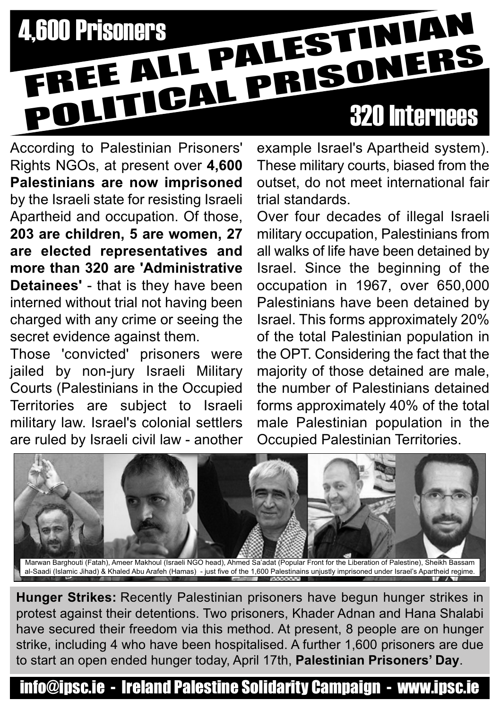## 4,600 Prisoners<br>FREE ALL PALESTINIAN FREE ALL PALES<br>POLITICAL PRISONERS

According to Palestinian Prisoners' Rights NGOs, at present over **4,600 Palestinians are now imprisoned** by the Israeli state for resisting Israeli Apartheid and occupation. Of those, **203 are children, 5 are women, 27 are elected representatives and more than 320 are 'Administrative Detainees'** - that is they have been interned without trial not having been charged with any crime or seeing the secret evidence against them.

Those 'convicted' prisoners were jailed by non-jury Israeli Military Courts (Palestinians in the Occupied Territories are subject to Israeli military law. Israel's colonial settlers are ruled by Israeli civil law - another example Israel's Apartheid system). These military courts, biased from the outset, do not meet international fair trial standards.

Over four decades of illegal Israeli military occupation, Palestinians from all walks of life have been detained by Israel. Since the beginning of the occupation in 1967, over 650,000 Palestinians have been detained by Israel. This forms approximately 20% of the total Palestinian population in the OPT. Considering the fact that the majority of those detained are male, the number of Palestinians detained forms approximately 40% of the total male Palestinian population in the Occupied Palestinian Territories.



**Hunger Strikes:** Recently Palestinian prisoners have begun hunger strikes in protest against their detentions. Two prisoners, Khader Adnan and Hana Shalabi have secured their freedom via this method. At present, 8 people are on hunger strike, including 4 who have been hospitalised. A further 1,600 prisoners are due to start an open ended hunger today, April 17th, **Palestinian Prisoners' Day**.

## info@ipsc.ie - Ireland Palestine Solidarity Campaign - www.ipsc.ie